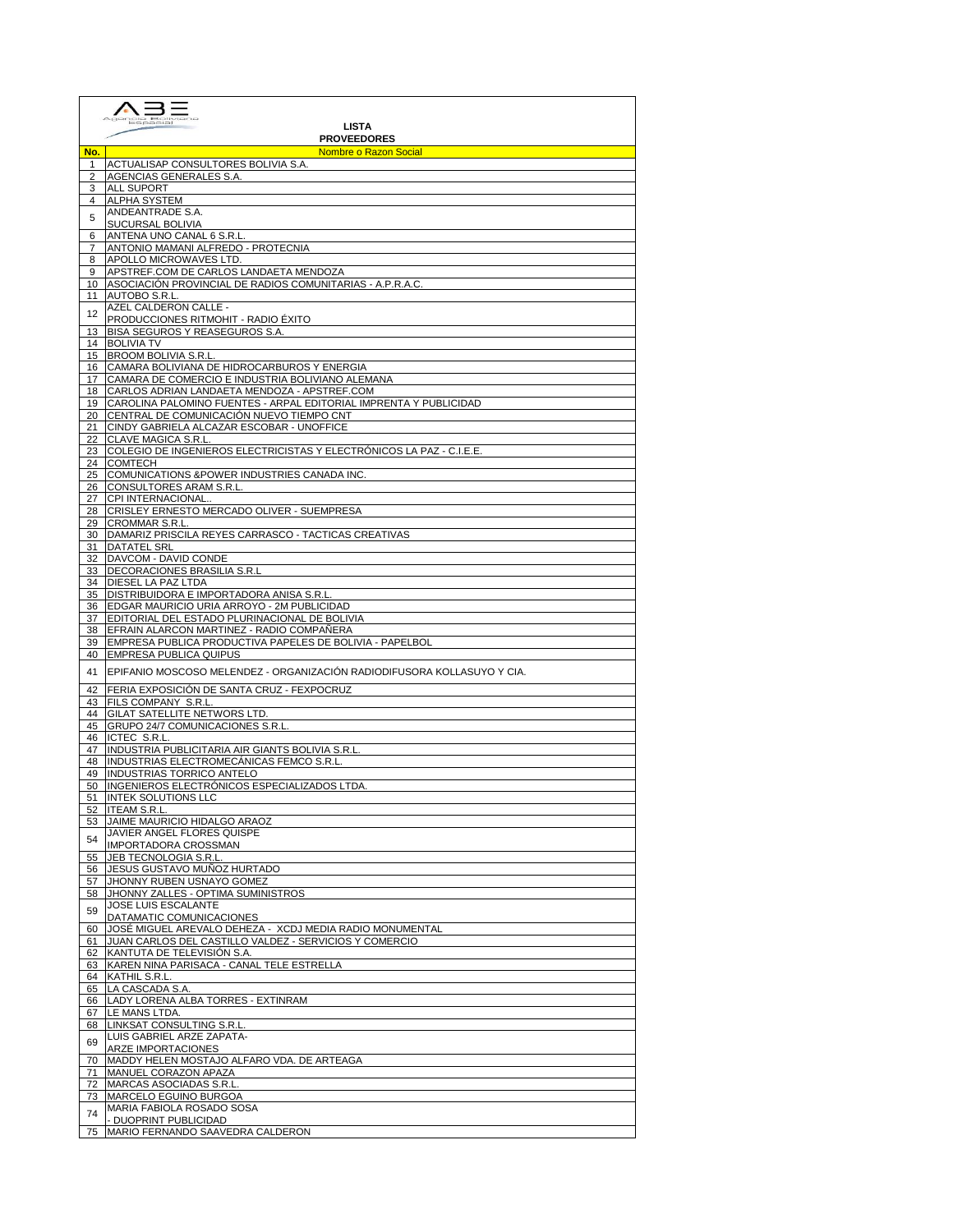|          | <b>LISTA</b>                                                                                                                        |  |
|----------|-------------------------------------------------------------------------------------------------------------------------------------|--|
|          | <b>PROVEEDORES</b><br>Nombre o Razon Social and Social and Social and Social and Social and Social and Social and Social and Social |  |
| No.<br>1 | ACTUALISAP CONSULTORES BOLIVIA S.A.                                                                                                 |  |
| 2        | AGENCIAS GENERALES S.A.                                                                                                             |  |
| 3        | ALL SUPORT                                                                                                                          |  |
| 4        | <b>ALPHA SYSTEM</b>                                                                                                                 |  |
| 5        | ANDEANTRADE S.A.<br>SUCURSAL BOLIVIA                                                                                                |  |
| 6        | ANTENA UNO CANAL 6 S.R.L.                                                                                                           |  |
| 7        | ANTONIO MAMANI ALFREDO - PROTECNIA                                                                                                  |  |
| 8        | APOLLO MICROWAVES LTD.                                                                                                              |  |
| 9        | APSTREF.COM DE CARLOS LANDAETA MENDOZA<br>ASOCIACIÓN PROVINCIAL DE RADIOS COMUNITARIAS - A.P.R.A.C.                                 |  |
| 10<br>11 | AUTOBO S.R.L.                                                                                                                       |  |
| 12       | AZEL CALDERON CALLE -                                                                                                               |  |
|          | PRODUCCIONES RITMOHIT - RADIO EXITO                                                                                                 |  |
| 13       | <b>BISA SEGUROS Y REASEGUROS S.A.</b>                                                                                               |  |
| 14<br>15 | <b>BOLIVIA TV</b><br><b>BROOM BOLIVIA S.R.L</b>                                                                                     |  |
| 16       | CAMARA BOLIVIANA DE HIDROCARBUROS Y ENERGIA                                                                                         |  |
| 17       | CAMARA DE COMERCIO E INDUSTRIA BOLIVIANO ALEMANA                                                                                    |  |
| 18       | CARLOS ADRIAN LANDAETA MENDOZA - APSTREF.COM                                                                                        |  |
| 19<br>20 | CAROLINA PALOMINO FUENTES - ARPAL EDITORIAL IMPRENTA Y PUBLICIDAD<br>CENTRAL DE COMUNICACIÓN NUEVO TIEMPO CNT                       |  |
| 21       | CINDY GABRIELA ALCAZAR ESCOBAR - UNOFFICE                                                                                           |  |
| 22       | CLAVE MAGICA S.R.L.                                                                                                                 |  |
| 23       | COLEGIO DE INGENIEROS ELECTRICISTAS Y ELECTRÓNICOS LA PAZ - C.I.E.E.                                                                |  |
| 24       | <b>COMTECH</b><br>COMUNICATIONS & POWER INDUSTRIES CANADA INC.                                                                      |  |
| 25<br>26 | CONSULTORES ARAM S.R.L.                                                                                                             |  |
| 27       | CPI INTERNACIONAL.                                                                                                                  |  |
| 28       | CRISLEY ERNESTO MERCADO OLIVER - SUEMPRESA                                                                                          |  |
| 29       | <b>CROMMAR S.R.L</b>                                                                                                                |  |
| 30<br>31 | DAMARIZ PRISCILA REYES CARRASCO - TACTICAS CREATIVAS<br><b>DATATEL SRL</b>                                                          |  |
| 32       | DAVCOM - DAVID CONDE                                                                                                                |  |
| 33       | DECORACIONES BRASILIA S.R.L                                                                                                         |  |
| 34       | <b>DIESEL LA PAZ LTDA</b>                                                                                                           |  |
| 35<br>36 | DISTRIBUIDORA E IMPORTADORA ANISA S.R.L<br>EDGAR MAURICIO URIA ARROYO - 2M PUBLICIDAD                                               |  |
| 37       | EDITORIAL DEL ESTADO PLURINACIONAL DE BOLIVIA                                                                                       |  |
| 38       | EFRAIN ALARCON MARTINEZ - RADIO COMPAÑERA                                                                                           |  |
| 39       | EMPRESA PUBLICA PRODUCTIVA PAPELES DE BOLIVIA - PAPELBOL                                                                            |  |
| 40       | <b>EMPRESA PUBLICA QUIPUS</b>                                                                                                       |  |
| 41       | IEPIFANIO MOSCOSO MELENDEZ - ORGANIZACIÓN RADIODIFUSORA KOLLASUYO Y CIA.                                                            |  |
| 42       | FERIA EXPOSICIÓN DE SANTA CRUZ - FEXPOCRUZ                                                                                          |  |
| 43       | FILS COMPANY S.R.L.<br><b>GILAT SATELLITE NETWORS LTD.</b>                                                                          |  |
| 44<br>45 | GRUPO 24/7 COMUNICACIONES S.R.L.                                                                                                    |  |
| 46       | ICTEC S.R.L.                                                                                                                        |  |
| 47       | INDUSTRIA PUBLICITARIA AIR GIANTS BOLIVIA S.R.L.                                                                                    |  |
| 48       | INDUSTRIAS ELECTROMECANICAS FEMCO S.R.L.                                                                                            |  |
| 49<br>50 | <b>INDUSTRIAS TORRICO ANTELO</b><br>INGENIEROS ELECTRÓNICOS ESPECIALIZADOS LTDA.                                                    |  |
|          | 51 <b>INTEK SOLUTIONS LLC</b>                                                                                                       |  |
| 52       | <b>ITEAM S.R.L.</b>                                                                                                                 |  |
| 53       | JAIME MAURICIO HIDALGO ARAOZ                                                                                                        |  |
| 54       | JAVIER ANGEL FLORES QUISPE<br>IMPORTADORA CROSSMAN                                                                                  |  |
|          | 55 JEB TECNOLOGIA S.R.L.                                                                                                            |  |
| 56       | JESUS GUSTAVO MUÑOZ HURTADO                                                                                                         |  |
| 57       | JHONNY RUBEN USNAYO GOMEZ                                                                                                           |  |
| 58       | JHONNY ZALLES - OPTIMA SUMINISTROS<br>JOSE LUIS ESCALANTE                                                                           |  |
| 59       | DATAMATIC COMUNICACIONES                                                                                                            |  |
| 60       | JOSÉ MIGUEL AREVALO DEHEZA - XCDJ MEDIA RADIO MONUMENTAL                                                                            |  |
| 61       | JUAN CARLOS DEL CASTILLO VALDEZ - SERVICIOS Y COMERCIO                                                                              |  |
| 62       | KANTUTA DE TELEVISIÓN S.A.<br>63 KAREN NINA PARISACA - CANAL TELE ESTRELLA                                                          |  |
|          | 64 KATHIL S.R.L.                                                                                                                    |  |
|          | 65 LA CASCADA S.A.                                                                                                                  |  |
|          | 66 LADY LORENA ALBA TORRES - EXTINRAM                                                                                               |  |
|          | 67 LE MANS LTDA.                                                                                                                    |  |
|          | 68 LINKSAT CONSULTING S.R.L.<br>LUIS GABRIEL ARZE ZAPATA-                                                                           |  |
| 69       | ARZE IMPORTACIONES                                                                                                                  |  |
| 70       | MADDY HELEN MOSTAJO ALFARO VDA. DE ARTEAGA                                                                                          |  |
| 71       | MANUEL CORAZON APAZA                                                                                                                |  |
| 72<br>73 | MARCAS ASOCIADAS S.R.L.<br>MARCELO EGUINO BURGOA                                                                                    |  |
|          | MARIA FABIOLA ROSADO SOSA                                                                                                           |  |
| 74       | - DUOPRINT PUBLICIDAD                                                                                                               |  |
| 75       | MARIO FERNANDO SAAVEDRA CALDERON                                                                                                    |  |